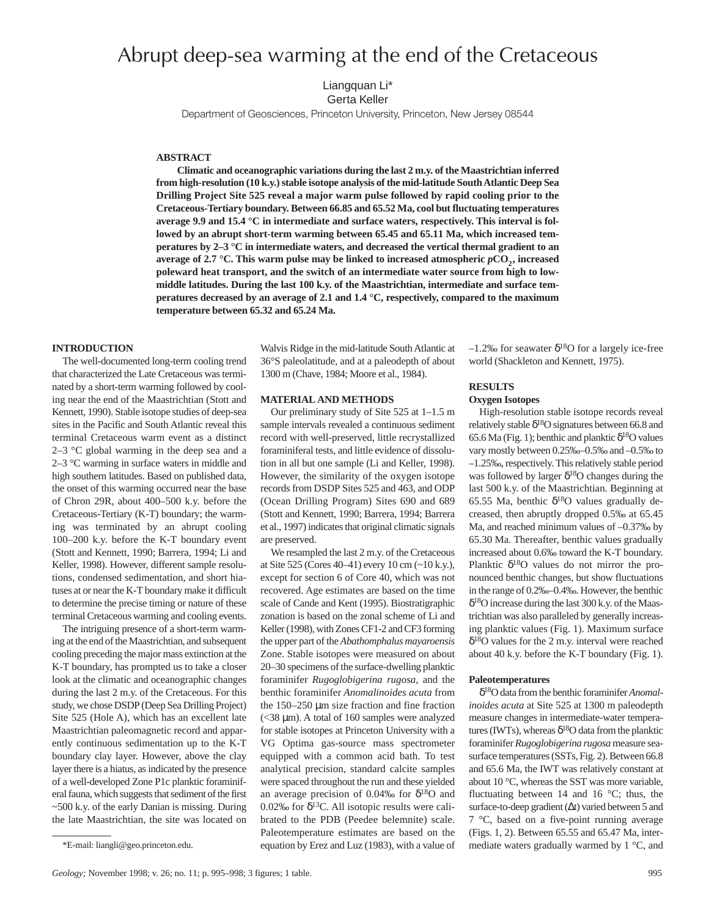# Abrupt deep-sea warming at the end of the Cretaceous

Liangquan Li\*

Gerta Keller

Department of Geosciences, Princeton University, Princeton, New Jersey 08544

# **ABSTRACT**

**Climatic and oceanographic variations during the last 2 m.y. of the Maastrichtian inferred from high-resolution (10 k.y.) stable isotope analysis of the mid-latitude South Atlantic Deep Sea Drilling Project Site 525 reveal a major warm pulse followed by rapid cooling prior to the Cretaceous-Tertiary boundary. Between 66.85 and 65.52 Ma, cool but fluctuating temperatures average 9.9 and 15.4 °C in intermediate and surface waters, respectively. This interval is followed by an abrupt short-term warming between 65.45 and 65.11 Ma, which increased temperatures by 2–3 °C in intermediate waters, and decreased the vertical thermal gradient to an average of 2.7 °C. This warm pulse may be linked to increased atmospheric**  $pCO<sub>2</sub>$ **, increased poleward heat transport, and the switch of an intermediate water source from high to lowmiddle latitudes. During the last 100 k.y. of the Maastrichtian, intermediate and surface temperatures decreased by an average of 2.1 and 1.4 °C, respectively, compared to the maximum temperature between 65.32 and 65.24 Ma.**

### **INTRODUCTION**

The well-documented long-term cooling trend that characterized the Late Cretaceous was terminated by a short-term warming followed by cooling near the end of the Maastrichtian (Stott and Kennett, 1990). Stable isotope studies of deep-sea sites in the Pacific and South Atlantic reveal this terminal Cretaceous warm event as a distinct 2–3 °C global warming in the deep sea and a 2–3 °C warming in surface waters in middle and high southern latitudes. Based on published data, the onset of this warming occurred near the base of Chron 29R, about 400–500 k.y. before the Cretaceous-Tertiary (K-T) boundary; the warming was terminated by an abrupt cooling 100–200 k.y. before the K-T boundary event (Stott and Kennett, 1990; Barrera, 1994; Li and Keller, 1998). However, different sample resolutions, condensed sedimentation, and short hiatuses at or near the K-T boundary make it difficult to determine the precise timing or nature of these terminal Cretaceous warming and cooling events.

The intriguing presence of a short-term warming at the end of the Maastrichtian, and subsequent cooling preceding the major mass extinction at the K-T boundary, has prompted us to take a closer look at the climatic and oceanographic changes during the last 2 m.y. of the Cretaceous. For this study, we chose DSDP (Deep Sea Drilling Project) Site 525 (Hole A), which has an excellent late Maastrichtian paleomagnetic record and apparently continuous sedimentation up to the K-T boundary clay layer. However, above the clay layer there is a hiatus, as indicated by the presence of a well-developed Zone P1c planktic foraminiferal fauna, which suggests that sediment of the first  $\sim$  500 k.y. of the early Danian is missing. During the late Maastrichtian, the site was located on

Walvis Ridge in the mid-latitude South Atlantic at 36°S paleolatitude, and at a paleodepth of about 1300 m (Chave, 1984; Moore et al., 1984).

## **MATERIAL AND METHODS**

Our preliminary study of Site 525 at 1–1.5 m sample intervals revealed a continuous sediment record with well-preserved, little recrystallized foraminiferal tests, and little evidence of dissolution in all but one sample (Li and Keller, 1998). However, the similarity of the oxygen isotope records from DSDP Sites 525 and 463, and ODP (Ocean Drilling Program) Sites 690 and 689 (Stott and Kennett, 1990; Barrera, 1994; Barrera et al., 1997) indicates that original climatic signals are preserved.

We resampled the last 2 m.y. of the Cretaceous at Site 525 (Cores 40–41) every 10 cm (~10 k.y.), except for section 6 of Core 40, which was not recovered. Age estimates are based on the time scale of Cande and Kent (1995). Biostratigraphic zonation is based on the zonal scheme of Li and Keller (1998), with Zones CF1-2 and CF3 forming the upper part of the *Abathomphalus mayaroensis* Zone. Stable isotopes were measured on about 20–30 specimens of the surface-dwelling planktic foraminifer *Rugoglobigerina rugosa*, and the benthic foraminifer *Anomalinoides acuta* from the 150–250 µm size fraction and fine fraction (<38 µm). A total of 160 samples were analyzed for stable isotopes at Princeton University with a VG Optima gas-source mass spectrometer equipped with a common acid bath. To test analytical precision, standard calcite samples were spaced throughout the run and these yielded an average precision of 0.04‰ for  $\delta^{18}$ O and 0.02‰ for  $\delta^{13}$ C. All isotopic results were calibrated to the PDB (Peedee belemnite) scale. Paleotemperature estimates are based on the equation by Erez and Luz (1983), with a value of  $-1.2\%$  for seawater  $\delta^{18}$ O for a largely ice-free world (Shackleton and Kennett, 1975).

# **RESULTS**

## **Oxygen Isotopes**

High-resolution stable isotope records reveal relatively stable  $\delta^{18}O$  signatures between 66.8 and 65.6 Ma (Fig. 1); benthic and planktic  $\delta^{18}$ O values vary mostly between 0.25‰–0.5‰ and –0.5‰ to –1.25‰, respectively. This relatively stable period was followed by larger  $\delta^{18}$ O changes during the last 500 k.y. of the Maastrichtian. Beginning at 65.55 Ma, benthic  $\delta^{18}$ O values gradually decreased, then abruptly dropped 0.5‰ at 65.45 Ma, and reached minimum values of –0.37‰ by 65.30 Ma. Thereafter, benthic values gradually increased about 0.6‰ toward the K-T boundary. Planktic  $\delta^{18}$ O values do not mirror the pronounced benthic changes, but show fluctuations in the range of 0.2‰–0.4‰. However, the benthic  $\delta^{18}$ O increase during the last 300 k.y. of the Maastrichtian was also paralleled by generally increasing planktic values (Fig. 1). Maximum surface  $\delta^{18}$ O values for the 2 m.y. interval were reached about 40 k.y. before the K-T boundary (Fig. 1).

#### **Paleotemperatures**

δ18O data from the benthic foraminifer *Anomalinoides acuta* at Site 525 at 1300 m paleodepth measure changes in intermediate-water temperatures (IWTs), whereas  $\delta^{18}$ O data from the planktic foraminifer *Rugoglobigerina rugosa* measure seasurface temperatures (SSTs, Fig. 2). Between 66.8 and 65.6 Ma, the IWT was relatively constant at about 10 °C, whereas the SST was more variable, fluctuating between 14 and 16 °C; thus, the surface-to-deep gradient (∆t) varied between 5 and 7 °C, based on a five-point running average (Figs. 1, 2). Between 65.55 and 65.47 Ma, intermediate waters gradually warmed by 1 °C, and

<sup>\*</sup>E-mail: liangli@geo.princeton.edu.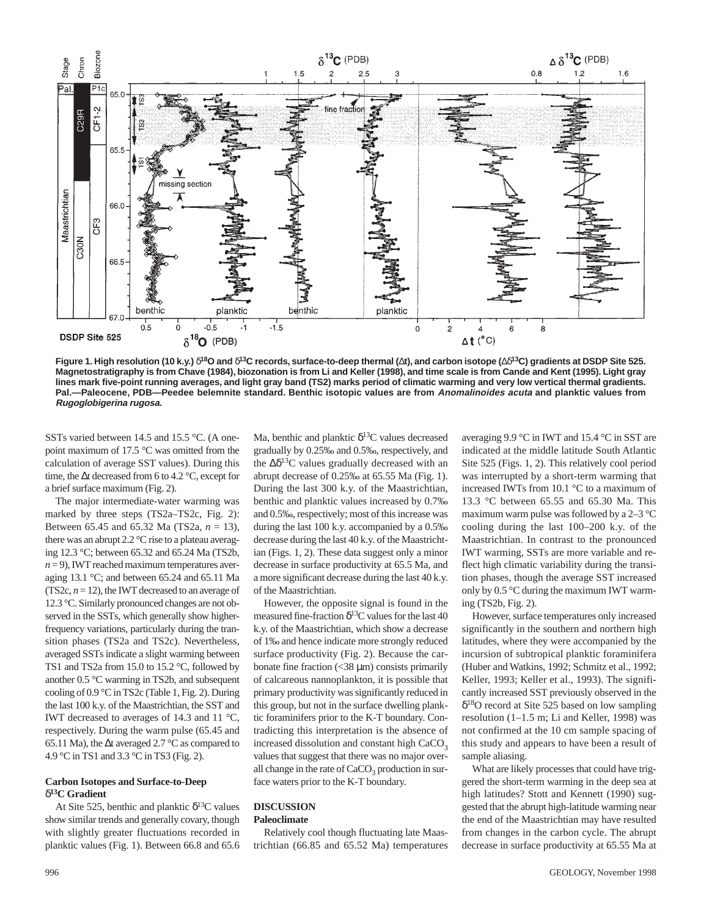

**Figure 1. High resolution (10 k.y.)** δ**18O and** δ**13C records, surface-to-deep thermal (**∆**t), and carbon isotope (**∆δ**13C) gradients at DSDP Site 525. Magnetostratigraphy is from Chave (1984), biozonation is from Li and Keller (1998), and time scale is from Cande and Kent (1995). Light gray lines mark five-point running averages, and light gray band (TS2) marks period of climatic warming and very low vertical thermal gradients. Pal.—Paleocene, PDB—Peedee belemnite standard. Benthic isotopic values are from Anomalinoides acuta and planktic values from Rugoglobigerina rugosa.**

SSTs varied between 14.5 and 15.5 °C. (A onepoint maximum of 17.5 °C was omitted from the calculation of average SST values). During this time, the ∆t decreased from 6 to 4.2 °C, except for a brief surface maximum (Fig. 2).

The major intermediate-water warming was marked by three steps (TS2a–TS2c, Fig. 2): Between 65.45 and 65.32 Ma (TS2a, *n* = 13), there was an abrupt 2.2 °C rise to a plateau averaging 12.3 °C; between 65.32 and 65.24 Ma (TS2b,  $n = 9$ ), IWT reached maximum temperatures averaging 13.1 °C; and between 65.24 and 65.11 Ma (TS2c,  $n = 12$ ), the IWT decreased to an average of 12.3 °C. Similarly pronounced changes are not observed in the SSTs, which generally show higherfrequency variations, particularly during the transition phases (TS2a and TS2c). Nevertheless, averaged SSTs indicate a slight warming between TS1 and TS2a from 15.0 to 15.2 °C, followed by another 0.5 °C warming in TS2b, and subsequent cooling of 0.9 °C in TS2c (Table 1, Fig. 2). During the last 100 k.y. of the Maastrichtian, the SST and IWT decreased to averages of 14.3 and 11 °C, respectively. During the warm pulse (65.45 and 65.11 Ma), the ∆t averaged 2.7 °C as compared to 4.9 °C in TS1 and 3.3 °C in TS3 (Fig. 2).

## **Carbon Isotopes and Surface-to-Deep** δ**13C Gradient**

At Site 525, benthic and planktic  $\delta^{13}$ C values show similar trends and generally covary, though with slightly greater fluctuations recorded in planktic values (Fig. 1). Between 66.8 and 65.6 Ma, benthic and planktic  $\delta^{13}$ C values decreased gradually by 0.25‰ and 0.5‰, respectively, and the  $\Delta \delta^{13}$ C values gradually decreased with an abrupt decrease of 0.25‰ at 65.55 Ma (Fig. 1). During the last 300 k.y. of the Maastrichtian, benthic and planktic values increased by 0.7‰ and 0.5‰, respectively; most of this increase was during the last 100 k.y. accompanied by a 0.5‰ decrease during the last 40 k.y. of the Maastrichtian (Figs. 1, 2). These data suggest only a minor decrease in surface productivity at 65.5 Ma, and a more significant decrease during the last 40 k.y. of the Maastrichtian.

However, the opposite signal is found in the measured fine-fraction  $\delta^{13}$ C values for the last 40 k.y. of the Maastrichtian, which show a decrease of 1‰ and hence indicate more strongly reduced surface productivity (Fig. 2). Because the carbonate fine fraction (<38 µm) consists primarily of calcareous nannoplankton, it is possible that primary productivity was significantly reduced in this group, but not in the surface dwelling planktic foraminifers prior to the K-T boundary. Contradicting this interpretation is the absence of increased dissolution and constant high  $CaCO<sub>2</sub>$ values that suggest that there was no major overall change in the rate of  $CaCO<sub>3</sub>$  production in surface waters prior to the K-T boundary.

## **DISCUSSION Paleoclimate**

Relatively cool though fluctuating late Maastrichtian (66.85 and 65.52 Ma) temperatures

averaging 9.9 °C in IWT and 15.4 °C in SST are indicated at the middle latitude South Atlantic Site 525 (Figs. 1, 2). This relatively cool period was interrupted by a short-term warming that increased IWTs from 10.1 °C to a maximum of 13.3 °C between 65.55 and 65.30 Ma. This maximum warm pulse was followed by a 2–3 °C cooling during the last 100–200 k.y. of the Maastrichtian. In contrast to the pronounced IWT warming, SSTs are more variable and reflect high climatic variability during the transition phases, though the average SST increased only by 0.5 °C during the maximum IWT warming (TS2b, Fig. 2).

However, surface temperatures only increased significantly in the southern and northern high latitudes, where they were accompanied by the incursion of subtropical planktic foraminifera (Huber and Watkins, 1992; Schmitz et al., 1992; Keller, 1993; Keller et al., 1993). The significantly increased SST previously observed in the  $\delta^{18}$ O record at Site 525 based on low sampling resolution (1–1.5 m; Li and Keller, 1998) was not confirmed at the 10 cm sample spacing of this study and appears to have been a result of sample aliasing.

What are likely processes that could have triggered the short-term warming in the deep sea at high latitudes? Stott and Kennett (1990) suggested that the abrupt high-latitude warming near the end of the Maastrichtian may have resulted from changes in the carbon cycle. The abrupt decrease in surface productivity at 65.55 Ma at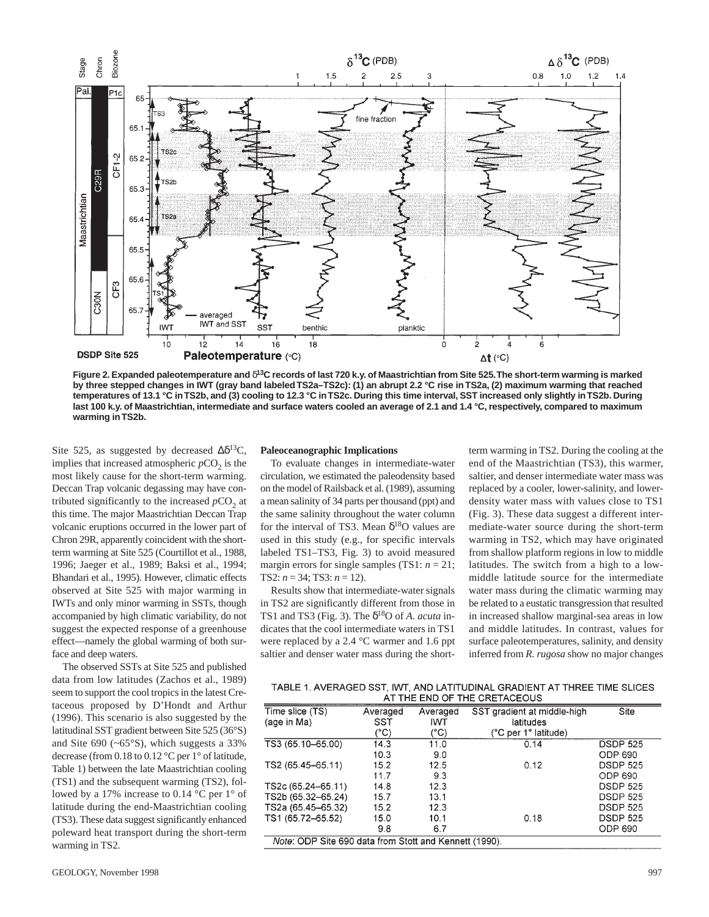

**Figure 2. Expanded paleotemperature and** δ**13C records of last 720 k.y. of Maastrichtian from Site 525.The short-term warming is marked by three stepped changes in IWT (gray band labeled TS2a–TS2c): (1) an abrupt 2.2 °C rise in TS2a, (2) maximum warming that reached temperatures of 13.1 °C in TS2b, and (3) cooling to 12.3 °C in TS2c. During this time interval, SST increased only slightly in TS2b. During last 100 k.y. of Maastrichtian, intermediate and surface waters cooled an average of 2.1 and 1.4 °C, respectively, compared to maximum warming in TS2b.**

Site 525, as suggested by decreased  $\Delta \delta^{13}C$ , implies that increased atmospheric  $pCO<sub>2</sub>$  is the most likely cause for the short-term warming. Deccan Trap volcanic degassing may have contributed significantly to the increased  $pCO<sub>2</sub>$  at this time. The major Maastrichtian Deccan Trap volcanic eruptions occurred in the lower part of Chron 29R, apparently coincident with the shortterm warming at Site 525 (Courtillot et al., 1988, 1996; Jaeger et al., 1989; Baksi et al., 1994; Bhandari et al., 1995). However, climatic effects observed at Site 525 with major warming in IWTs and only minor warming in SSTs, though accompanied by high climatic variability, do not suggest the expected response of a greenhouse effect—namely the global warming of both surface and deep waters.

The observed SSTs at Site 525 and published data from low latitudes (Zachos et al., 1989) seem to support the cool tropics in the latest Cretaceous proposed by D'Hondt and Arthur (1996). This scenario is also suggested by the latitudinal SST gradient between Site 525 (36°S) and Site 690 (~65°S), which suggests a 33% decrease (from 0.18 to 0.12 °C per 1° of latitude, Table 1) between the late Maastrichtian cooling (TS1) and the subsequent warming (TS2), followed by a 17% increase to 0.14 °C per 1° of latitude during the end-Maastrichtian cooling (TS3). These data suggest significantly enhanced poleward heat transport during the short-term warming in TS2.

## **Paleoceanographic Implications**

To evaluate changes in intermediate-water circulation, we estimated the paleodensity based on the model of Railsback et al. (1989), assuming a mean salinity of 34 parts per thousand (ppt) and the same salinity throughout the water column for the interval of TS3. Mean  $\delta^{18}$ O values are used in this study (e.g., for specific intervals labeled TS1–TS3, Fig. 3) to avoid measured margin errors for single samples (TS1:  $n = 21$ ; TS2:  $n = 34$ ; TS3:  $n = 12$ ).

Results show that intermediate-water signals in TS2 are significantly different from those in TS1 and TS3 (Fig. 3). The  $\delta^{18}$ O of *A. acuta* indicates that the cool intermediate waters in TS1 were replaced by a 2.4 °C warmer and 1.6 ppt saltier and denser water mass during the short-

term warming in TS2. During the cooling at the end of the Maastrichtian (TS3), this warmer, saltier, and denser intermediate water mass was replaced by a cooler, lower-salinity, and lowerdensity water mass with values close to TS1 (Fig. 3). These data suggest a different intermediate-water source during the short-term warming in TS2, which may have originated from shallow platform regions in low to middle latitudes. The switch from a high to a lowmiddle latitude source for the intermediate water mass during the climatic warming may be related to a eustatic transgression that resulted in increased shallow marginal-sea areas in low and middle latitudes. In contrast, values for surface paleotemperatures, salinity, and density inferred from *R. rugosa* show no major changes

| TABLE 1. AVERAGED SST, IWT, AND LATITUDINAL GRADIENT AT THREE TIME SLICES |
|---------------------------------------------------------------------------|
| AT THE END OF THE CRETACEOUS                                              |

| Time slice (TS)                                        | Averaged | Averaged   | SST gradient at middle-high | Site            |  |
|--------------------------------------------------------|----------|------------|-----------------------------|-----------------|--|
| (age in Ma)                                            | SST      | <b>IWT</b> | latitudes                   |                 |  |
|                                                        | (°C)     | (°C)       | (°C per 1° latitude)        |                 |  |
| TS3 (65.10-65.00)                                      | 14.3     | 11.0       | 0.14                        | <b>DSDP 525</b> |  |
|                                                        | 10.3     | 9.0        |                             | ODP 690         |  |
| TS2 (65.45-65.11)                                      | 15.2     | 12.5       | 0.12                        | <b>DSDP 525</b> |  |
|                                                        | 11.7     | 9.3        |                             | ODP 690         |  |
| TS2c (65.24-65.11)                                     | 14.8     | 12.3       |                             | <b>DSDP 525</b> |  |
| TS2b (65.32-65.24)                                     | 15.7     | 13.1       |                             | <b>DSDP 525</b> |  |
| TS2a (65.45–65.32)                                     | 15.2     | 12.3       |                             | <b>DSDP 525</b> |  |
| TS1 (65.72-65.52)                                      | 15.0     | 10.1       | 0.18                        | <b>DSDP 525</b> |  |
|                                                        | 9.8      | 6.7        |                             | ODP 690         |  |
| Note: ODP Site 690 data from Stott and Kennett (1990). |          |            |                             |                 |  |